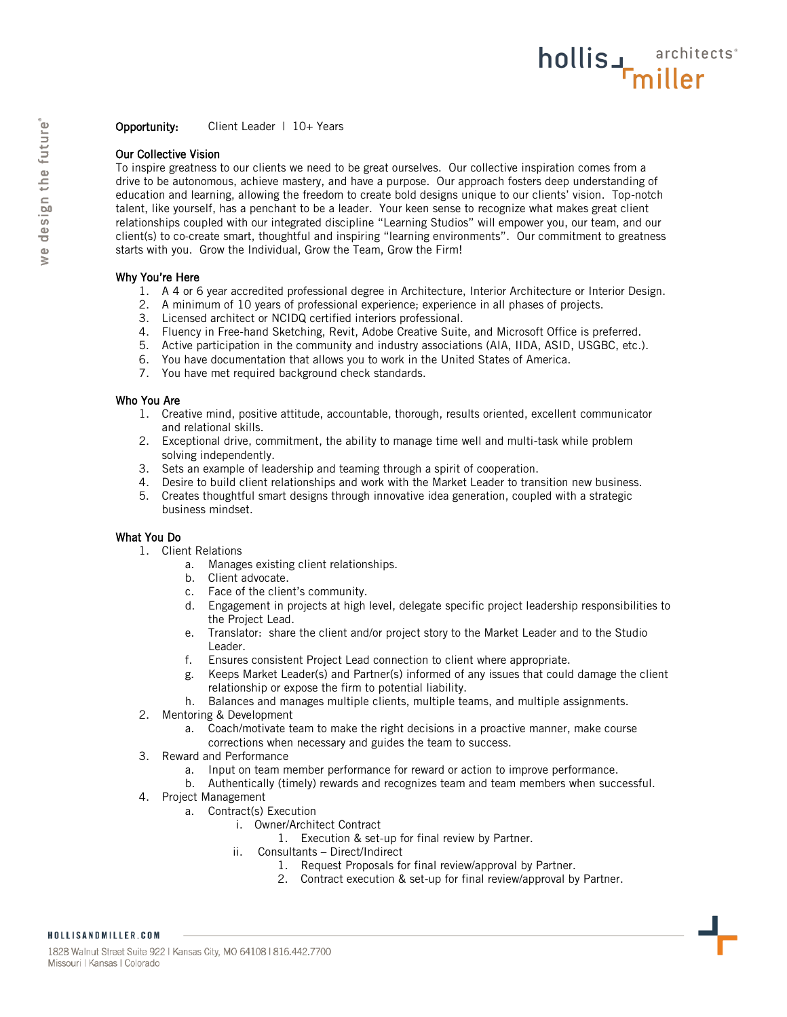## Our Collective Vision

To inspire greatness to our clients we need to be great ourselves. Our collective inspiration comes from a drive to be autonomous, achieve mastery, and have a purpose. Our approach fosters deep understanding of education and learning, allowing the freedom to create bold designs unique to our clients' vision. Top-notch talent, like yourself, has a penchant to be a leader. Your keen sense to recognize what makes great client relationships coupled with our integrated discipline "Learning Studios" will empower you, our team, and our client(s) to co-create smart, thoughtful and inspiring "learning environments". Our commitment to greatness starts with you. Grow the Individual, Grow the Team, Grow the Firm!

hollis Finiller

## Why You're Here

- 1. A 4 or 6 year accredited professional degree in Architecture, Interior Architecture or Interior Design.
- 2. A minimum of 10 years of professional experience; experience in all phases of projects.
- 3. Licensed architect or NCIDQ certified interiors professional.
- 4. Fluency in Free-hand Sketching, Revit, Adobe Creative Suite, and Microsoft Office is preferred.
- 5. Active participation in the community and industry associations (AIA, IIDA, ASID, USGBC, etc.).
- 6. You have documentation that allows you to work in the United States of America.
- 7. You have met required background check standards.

## Who You Are

- 1. Creative mind, positive attitude, accountable, thorough, results oriented, excellent communicator and relational skills.
- 2. Exceptional drive, commitment, the ability to manage time well and multi-task while problem solving independently.
- 3. Sets an example of leadership and teaming through a spirit of cooperation.
- 4. Desire to build client relationships and work with the Market Leader to transition new business.
- 5. Creates thoughtful smart designs through innovative idea generation, coupled with a strategic business mindset.

## What You Do

- 1. Client Relations
	- a. Manages existing client relationships.
	- b. Client advocate.
	- c. Face of the client's community.
	- d. Engagement in projects at high level, delegate specific project leadership responsibilities to the Project Lead.
	- e. Translator: share the client and/or project story to the Market Leader and to the Studio Leader.
	- f. Ensures consistent Project Lead connection to client where appropriate.
	- g. Keeps Market Leader(s) and Partner(s) informed of any issues that could damage the client relationship or expose the firm to potential liability.
	- h. Balances and manages multiple clients, multiple teams, and multiple assignments.
- 2. Mentoring & Development
	- a. Coach/motivate team to make the right decisions in a proactive manner, make course corrections when necessary and guides the team to success.
- 3. Reward and Performance
	- a. Input on team member performance for reward or action to improve performance.
	- b. Authentically (timely) rewards and recognizes team and team members when successful.
- 4. Project Management
	- a. Contract(s) Execution
		- i. Owner/Architect Contract
			- 1. Execution & set-up for final review by Partner.
		- ii. Consultants Direct/Indirect
			- 1. Request Proposals for final review/approval by Partner.
			- 2. Contract execution & set-up for final review/approval by Partner.